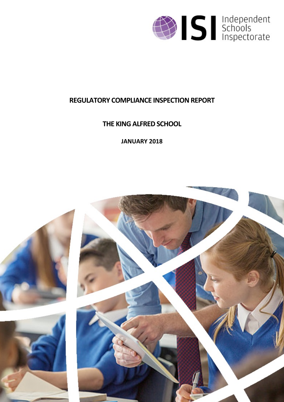

# **REGULATORY COMPLIANCE INSPECTION REPORT**

**THE KING ALFRED SCHOOL**

**JANUARY 2018**

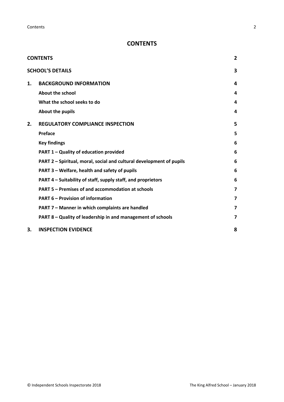# <span id="page-1-0"></span>**CONTENTS**

| <b>CONTENTS</b> |                                                                      |                |
|-----------------|----------------------------------------------------------------------|----------------|
|                 | <b>SCHOOL'S DETAILS</b>                                              | 3              |
| 1.              | <b>BACKGROUND INFORMATION</b>                                        | 4              |
|                 | About the school                                                     | 4              |
|                 | What the school seeks to do                                          | 4              |
|                 | About the pupils                                                     | $\overline{a}$ |
| 2.              | <b>REGULATORY COMPLIANCE INSPECTION</b>                              | 5              |
|                 | Preface                                                              | 5              |
|                 | <b>Key findings</b>                                                  | 6              |
|                 | PART 1 - Quality of education provided                               | 6              |
|                 | PART 2 - Spiritual, moral, social and cultural development of pupils | 6              |
|                 | PART 3 – Welfare, health and safety of pupils                        | 6              |
|                 | PART 4 – Suitability of staff, supply staff, and proprietors         | 6              |
|                 | PART 5 - Premises of and accommodation at schools                    | 7              |
|                 | <b>PART 6 - Provision of information</b>                             | 7              |
|                 | PART 7 - Manner in which complaints are handled                      | 7              |
|                 | PART 8 - Quality of leadership in and management of schools          | 7              |
| 3.              | <b>INSPECTION EVIDENCE</b>                                           | 8              |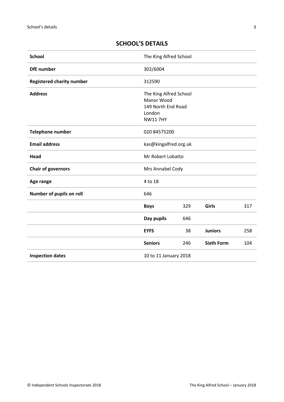# <span id="page-2-0"></span>**SCHOOL'S DETAILS**

| <b>School</b>                                    | The King Alfred School                                                                 |     |                   |     |
|--------------------------------------------------|----------------------------------------------------------------------------------------|-----|-------------------|-----|
| <b>DfE</b> number                                | 302/6004                                                                               |     |                   |     |
| <b>Registered charity number</b>                 | 312590                                                                                 |     |                   |     |
| <b>Address</b>                                   | The King Alfred School<br>Manor Wood<br>149 North End Road<br>London<br><b>NW117HY</b> |     |                   |     |
| <b>Telephone number</b><br>020 84575200          |                                                                                        |     |                   |     |
| <b>Email address</b>                             | kas@kingalfred.org.uk                                                                  |     |                   |     |
| Mr Robert Lobatto<br>Head                        |                                                                                        |     |                   |     |
| <b>Chair of governors</b>                        | Mrs Annabel Cody                                                                       |     |                   |     |
| Age range                                        | 4 to 18                                                                                |     |                   |     |
| Number of pupils on roll                         | 646                                                                                    |     |                   |     |
|                                                  | <b>Boys</b>                                                                            | 329 | Girls             | 317 |
|                                                  | Day pupils                                                                             | 646 |                   |     |
|                                                  | <b>EYFS</b>                                                                            | 38  | <b>Juniors</b>    | 258 |
|                                                  | <b>Seniors</b>                                                                         | 246 | <b>Sixth Form</b> | 104 |
| <b>Inspection dates</b><br>10 to 11 January 2018 |                                                                                        |     |                   |     |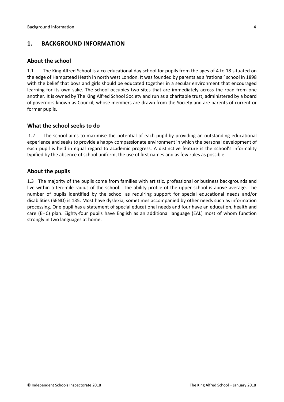# <span id="page-3-0"></span>**1. BACKGROUND INFORMATION**

#### <span id="page-3-1"></span>**About the school**

1.1 The King Alfred School is a co-educational day school for pupils from the ages of 4 to 18 situated on the edge of Hampstead Heath in north west London. It was founded by parents as a 'rational' school in 1898 with the belief that boys and girls should be educated together in a secular environment that encouraged learning for its own sake. The school occupies two sites that are immediately across the road from one another. It is owned by The King Alfred School Society and run as a charitable trust, administered by a board of governors known as Council, whose members are drawn from the Society and are parents of current or former pupils.

## <span id="page-3-2"></span>**What the school seeks to do**

1.2 The school aims to maximise the potential of each pupil by providing an outstanding educational experience and seeks to provide a happy compassionate environment in which the personal development of each pupil is held in equal regard to academic progress. A distinctive feature is the school's informality typified by the absence of school uniform, the use of first names and as few rules as possible.

#### <span id="page-3-3"></span>**About the pupils**

1.3 The majority of the pupils come from families with artistic, professional or business backgrounds and live within a ten-mile radius of the school. The ability profile of the upper school is above average. The number of pupils identified by the school as requiring support for special educational needs and/or disabilities (SEND) is 135. Most have dyslexia, sometimes accompanied by other needs such as information processing. One pupil has a statement of special educational needs and four have an education, health and care (EHC) plan. Eighty-four pupils have English as an additional language (EAL) most of whom function strongly in two languages at home.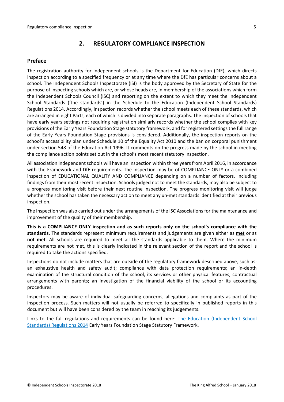# <span id="page-4-0"></span>**2. REGULATORY COMPLIANCE INSPECTION**

# <span id="page-4-1"></span>**Preface**

The registration authority for independent schools is the Department for Education (DfE), which directs inspection according to a specified frequency or at any time where the DfE has particular concerns about a school. The Independent Schools Inspectorate (ISI) is the body approved by the Secretary of State for the purpose of inspecting schools which are, or whose heads are, in membership of the associations which form the Independent Schools Council (ISC) and reporting on the extent to which they meet the Independent School Standards ('the standards') in the Schedule to the Education (Independent School Standards) Regulations 2014. Accordingly, inspection records whether the school meets each of these standards, which are arranged in eight Parts, each of which is divided into separate paragraphs. The inspection of schools that have early years settings not requiring registration similarly records whether the school complies with key provisions of the Early Years Foundation Stage statutory framework, and for registered settings the full range of the Early Years Foundation Stage provisions is considered. Additionally, the inspection reports on the school's accessibility plan under Schedule 10 of the Equality Act 2010 and the ban on corporal punishment under section 548 of the Education Act 1996. It comments on the progress made by the school in meeting the compliance action points set out in the school's most recent statutory inspection.

All association independent schools will have an inspection within three yearsfrom April 2016, in accordance with the Framework and DfE requirements. The inspection may be of COMPLIANCE ONLY or a combined inspection of EDUCATIONAL QUALITY AND COMPLIANCE depending on a number of factors, including findings from their most recent inspection. Schools judged not to meet the standards, may also be subject to a progress monitoring visit before their next routine inspection. The progress monitoring visit will judge whether the school has taken the necessary action to meet any un-met standards identified at their previous inspection.

The inspection was also carried out under the arrangements of the ISC Associations for the maintenance and improvement of the quality of their membership.

**This is a COMPLIANCE ONLY inspection and as such reports only on the school's compliance with the standards.** The standards represent minimum requirements and judgements are given either as **met** or as **not met**. All schools are required to meet all the standards applicable to them. Where the minimum requirements are not met, this is clearly indicated in the relevant section of the report and the school is required to take the actions specified.

Inspections do not include matters that are outside of the regulatory framework described above, such as: an exhaustive health and safety audit; compliance with data protection requirements; an in-depth examination of the structural condition of the school, its services or other physical features; contractual arrangements with parents; an investigation of the financial viability of the school or its accounting procedures.

Inspectors may be aware of individual safeguarding concerns, allegations and complaints as part of the inspection process. Such matters will not usually be referred to specifically in published reports in this document but will have been considered by the team in reaching its judgements.

Links to the full regulations and requirements can be found here: The Education [\(Independent](http://www.legislation.gov.uk/uksi/2014/3283/contents/made) School Standards) [Regulations](http://www.legislation.gov.uk/uksi/2014/3283/contents/made) 2014 Early Years Foundation Stage Statutory [Framework.](https://www.gov.uk/government/publications/early-years-foundation-stage-framework--2)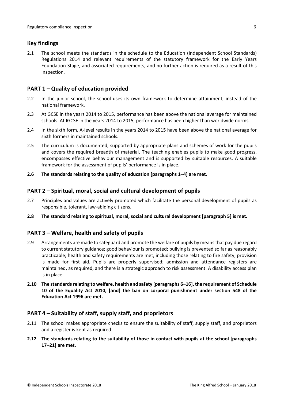## <span id="page-5-0"></span>**Key findings**

2.1 The school meets the standards in the schedule to the Education (Independent School Standards) Regulations 2014 and relevant requirements of the statutory framework for the Early Years Foundation Stage, and associated requirements, and no further action is required as a result of this inspection.

# <span id="page-5-1"></span>**PART 1 – Quality of education provided**

- 2.2 In the junior school, the school uses its own framework to determine attainment, instead of the national framework.
- 2.3 At GCSE in the years 2014 to 2015, performance has been above the national average for maintained schools. At IGCSE in the years 2014 to 2015, performance has been higher than worldwide norms.
- 2.4 In the sixth form, A-level results in the years 2014 to 2015 have been above the national average for sixth formers in maintained schools.
- 2.5 The curriculum is documented, supported by appropriate plans and schemes of work for the pupils and covers the required breadth of material. The teaching enables pupils to make good progress, encompasses effective behaviour management and is supported by suitable resources. A suitable framework for the assessment of pupils' performance is in place.
- **2.6 The standards relating to the quality of education [paragraphs 1–4] are met.**

## <span id="page-5-2"></span>**PART 2 – Spiritual, moral, social and cultural development of pupils**

- 2.7 Principles and values are actively promoted which facilitate the personal development of pupils as responsible, tolerant, law-abiding citizens.
- **2.8 The standard relating to spiritual, moral, social and cultural development [paragraph 5] is met.**

## <span id="page-5-3"></span>**PART 3 – Welfare, health and safety of pupils**

- 2.9 Arrangements are made to safeguard and promote the welfare of pupils by means that pay due regard to current statutory guidance; good behaviour is promoted; bullying is prevented so far as reasonably practicable; health and safety requirements are met, including those relating to fire safety; provision is made for first aid. Pupils are properly supervised; admission and attendance registers are maintained, as required, and there is a strategic approach to risk assessment. A disability access plan is in place.
- **2.10 The standardsrelating to welfare, health and safety [paragraphs 6–16], the requirement of Schedule 10 of the Equality Act 2010, [and] the ban on corporal punishment under section 548 of the Education Act 1996 are met.**

## <span id="page-5-4"></span>**PART 4 – Suitability of staff, supply staff, and proprietors**

- 2.11 The school makes appropriate checks to ensure the suitability of staff, supply staff, and proprietors and a register is kept as required.
- **2.12 The standards relating to the suitability of those in contact with pupils at the school [paragraphs 17–21] are met.**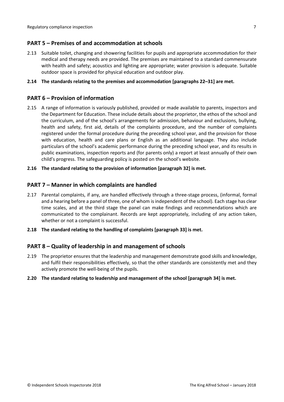## <span id="page-6-0"></span>**PART 5 – Premises of and accommodation at schools**

2.13 Suitable toilet, changing and showering facilities for pupils and appropriate accommodation for their medical and therapy needs are provided. The premises are maintained to a standard commensurate with health and safety; acoustics and lighting are appropriate; water provision is adequate. Suitable outdoor space is provided for physical education and outdoor play.

#### **2.14 The standards relating to the premises and accommodation [paragraphs 22–31] are met.**

## <span id="page-6-1"></span>**PART 6 – Provision of information**

2.15 A range of information is variously published, provided or made available to parents, inspectors and the Department for Education. These include details about the proprietor, the ethos of the school and the curriculum, and of the school's arrangements for admission, behaviour and exclusions, bullying, health and safety, first aid, details of the complaints procedure, and the number of complaints registered under the formal procedure during the preceding school year, and the provision for those with education, health and care plans or English as an additional language. They also include particulars of the school's academic performance during the preceding school year, and its results in public examinations, inspection reports and (for parents only) a report at least annually of their own child's progress. The safeguarding policy is posted on the school's website.

#### **2.16 The standard relating to the provision of information [paragraph 32] is met.**

## <span id="page-6-2"></span>**PART 7 – Manner in which complaints are handled**

- 2.17 Parental complaints, if any, are handled effectively through a three-stage process, (informal, formal and a hearing before a panel of three, one of whom is independent of the school). Each stage has clear time scales, and at the third stage the panel can make findings and recommendations which are communicated to the complainant. Records are kept appropriately, including of any action taken, whether or not a complaint is successful.
- **2.18 The standard relating to the handling of complaints [paragraph 33] is met.**

## <span id="page-6-3"></span>**PART 8 – Quality of leadership in and management of schools**

2.19 The proprietor ensures that the leadership and management demonstrate good skills and knowledge, and fulfil their responsibilities effectively, so that the other standards are consistently met and they actively promote the well-being of the pupils.

#### **2.20 The standard relating to leadership and management of the school [paragraph 34] is met.**